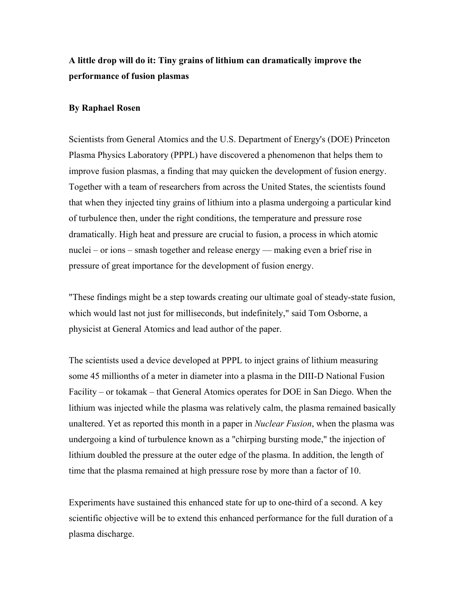## **A little drop will do it: Tiny grains of lithium can dramatically improve the performance of fusion plasmas**

## **By Raphael Rosen**

Scientists from General Atomics and the U.S. Department of Energy's (DOE) Princeton Plasma Physics Laboratory (PPPL) have discovered a phenomenon that helps them to improve fusion plasmas, a finding that may quicken the development of fusion energy. Together with a team of researchers from across the United States, the scientists found that when they injected tiny grains of lithium into a plasma undergoing a particular kind of turbulence then, under the right conditions, the temperature and pressure rose dramatically. High heat and pressure are crucial to fusion, a process in which atomic nuclei – or ions – smash together and release energy — making even a brief rise in pressure of great importance for the development of fusion energy.

"These findings might be a step towards creating our ultimate goal of steady-state fusion, which would last not just for milliseconds, but indefinitely," said Tom Osborne, a physicist at General Atomics and lead author of the paper.

The scientists used a device developed at PPPL to inject grains of lithium measuring some 45 millionths of a meter in diameter into a plasma in the DIII-D National Fusion Facility – or tokamak – that General Atomics operates for DOE in San Diego. When the lithium was injected while the plasma was relatively calm, the plasma remained basically unaltered. Yet as reported this month in a paper in *Nuclear Fusion*, when the plasma was undergoing a kind of turbulence known as a "chirping bursting mode," the injection of lithium doubled the pressure at the outer edge of the plasma. In addition, the length of time that the plasma remained at high pressure rose by more than a factor of 10.

Experiments have sustained this enhanced state for up to one-third of a second. A key scientific objective will be to extend this enhanced performance for the full duration of a plasma discharge.